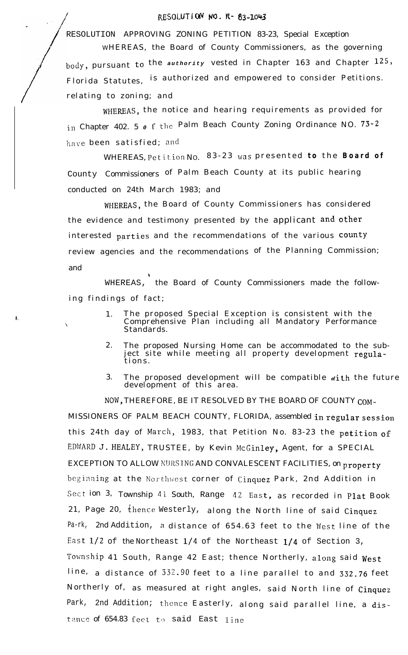## RESOLUTION NO. R- 83-2043

RESOLUTION APPROVING ZONING PETITION 83-23, Special Exception

WHEREAS, the Board of County Commissioners, as the governing body, pursuant to the *authority* vested in Chapter 163 and Chapter 125, Florida Statutes, is authorized and empowered to consider Petitions. relating to zoning; and

WHEREAS, the notice and hearing requirements as provided for in Chapter 402. 5 *0* f the Palm Beach County Zoning Ordinance NO. 73-2 have been satisfied; and

WHEREAS, Petition No. 83-23 was presented *to* the **Board of** County Commissioners of Palm Beach County at its public hearing conducted on 24th March 1983; and

WHEREAS, the Board of County Commissioners has considered the evidence and testimony presented by the applicant and other interested parties and the recommendations of the various County review agencies and the recommendations of the Planning Commission; and

WHEREAS, the Board of County Commissioners made the following findings of fact;

P

- 1. The proposed Special Exception is consistent with the '\ Comprehensive Plan including all Mandatory Performance Standards.
	- 2. The proposed Nursing Home can be accommodated to the subject site while meeting all property development regulations.
	- 3. The proposed development will be compatible with the future development of this area.

NOW, THEREFORE, BE IT RESOLVED BY THE BOARD OF COUNTY COM-MISSIONERS OF PALM BEACH COUNTY, FLORIDA, assembled in regular session this 24th day of March, 1983, that Petition No. 83-23 the petition of EDWARD J. HEALEY, TRUSTEE, by Kevin McGinley, Agent, for a SPECIAL EXCEPTION TO ALLOW KIIRSTNG AND CONVALESCENT FACILITIES, on **property** beginning at the Northwest corner of Cinquez Park, 2nd Addition in Section 3, Township 41 South, Range 42 East, as recorded in Plat Book 21, Page 20, thence Westerly, along the North line of said Cinquez Pa-rk, 2nd Addition, a distance of 654.63 feet to the West line of the East  $1/2$  of the Northeast  $1/4$  of the Northeast  $1/4$  of Section 3, Township 41 South, Range 42 East; thence Northerly, along said West line, a distance of 332.90 feet to a line parallel to and 332.76 feet Northerly of, as measured at right angles, said North line of Cinquez Park, 2nd Addition; thence Easterly, along said parallel line, a distance of  $654.83$  feet to said East line